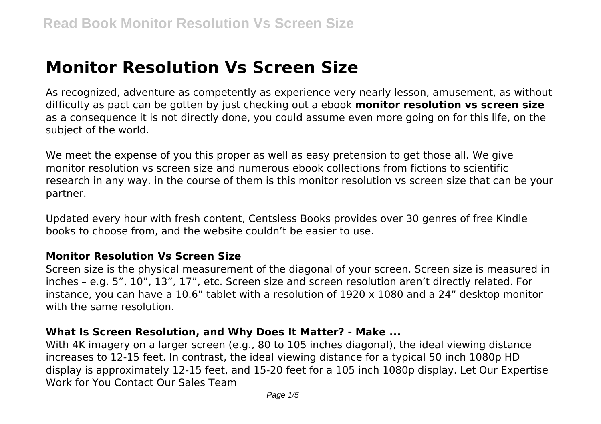# **Monitor Resolution Vs Screen Size**

As recognized, adventure as competently as experience very nearly lesson, amusement, as without difficulty as pact can be gotten by just checking out a ebook **monitor resolution vs screen size** as a consequence it is not directly done, you could assume even more going on for this life, on the subject of the world.

We meet the expense of you this proper as well as easy pretension to get those all. We give monitor resolution vs screen size and numerous ebook collections from fictions to scientific research in any way. in the course of them is this monitor resolution vs screen size that can be your partner.

Updated every hour with fresh content, Centsless Books provides over 30 genres of free Kindle books to choose from, and the website couldn't be easier to use.

#### **Monitor Resolution Vs Screen Size**

Screen size is the physical measurement of the diagonal of your screen. Screen size is measured in inches – e.g. 5", 10", 13", 17", etc. Screen size and screen resolution aren't directly related. For instance, you can have a 10.6" tablet with a resolution of 1920 x 1080 and a 24" desktop monitor with the same resolution.

#### **What Is Screen Resolution, and Why Does It Matter? - Make ...**

With 4K imagery on a larger screen (e.g., 80 to 105 inches diagonal), the ideal viewing distance increases to 12-15 feet. In contrast, the ideal viewing distance for a typical 50 inch 1080p HD display is approximately 12-15 feet, and 15-20 feet for a 105 inch 1080p display. Let Our Expertise Work for You Contact Our Sales Team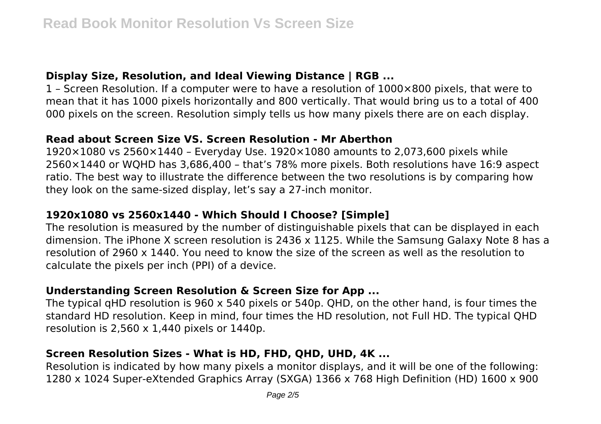# **Display Size, Resolution, and Ideal Viewing Distance | RGB ...**

1 – Screen Resolution. If a computer were to have a resolution of 1000×800 pixels, that were to mean that it has 1000 pixels horizontally and 800 vertically. That would bring us to a total of 400 000 pixels on the screen. Resolution simply tells us how many pixels there are on each display.

#### **Read about Screen Size VS. Screen Resolution - Mr Aberthon**

1920×1080 vs 2560×1440 – Everyday Use. 1920×1080 amounts to 2,073,600 pixels while 2560×1440 or WQHD has 3,686,400 – that's 78% more pixels. Both resolutions have 16:9 aspect ratio. The best way to illustrate the difference between the two resolutions is by comparing how they look on the same-sized display, let's say a 27-inch monitor.

# **1920x1080 vs 2560x1440 - Which Should I Choose? [Simple]**

The resolution is measured by the number of distinguishable pixels that can be displayed in each dimension. The iPhone X screen resolution is 2436 x 1125. While the Samsung Galaxy Note 8 has a resolution of 2960 x 1440. You need to know the size of the screen as well as the resolution to calculate the pixels per inch (PPI) of a device.

# **Understanding Screen Resolution & Screen Size for App ...**

The typical qHD resolution is 960 x 540 pixels or 540p. QHD, on the other hand, is four times the standard HD resolution. Keep in mind, four times the HD resolution, not Full HD. The typical QHD resolution is  $2,560 \times 1,440$  pixels or  $1440p$ .

# **Screen Resolution Sizes - What is HD, FHD, QHD, UHD, 4K ...**

Resolution is indicated by how many pixels a monitor displays, and it will be one of the following: 1280 x 1024 Super-eXtended Graphics Array (SXGA) 1366 x 768 High Definition (HD) 1600 x 900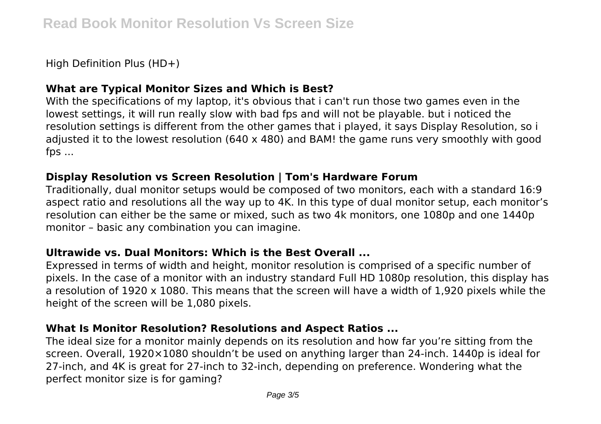High Definition Plus (HD+)

## **What are Typical Monitor Sizes and Which is Best?**

With the specifications of my laptop, it's obvious that i can't run those two games even in the lowest settings, it will run really slow with bad fps and will not be playable. but i noticed the resolution settings is different from the other games that i played, it says Display Resolution, so i adjusted it to the lowest resolution (640 x 480) and BAM! the game runs very smoothly with good fps ...

#### **Display Resolution vs Screen Resolution | Tom's Hardware Forum**

Traditionally, dual monitor setups would be composed of two monitors, each with a standard 16:9 aspect ratio and resolutions all the way up to 4K. In this type of dual monitor setup, each monitor's resolution can either be the same or mixed, such as two 4k monitors, one 1080p and one 1440p monitor – basic any combination you can imagine.

#### **Ultrawide vs. Dual Monitors: Which is the Best Overall ...**

Expressed in terms of width and height, monitor resolution is comprised of a specific number of pixels. In the case of a monitor with an industry standard Full HD 1080p resolution, this display has a resolution of 1920 x 1080. This means that the screen will have a width of 1,920 pixels while the height of the screen will be 1,080 pixels.

#### **What Is Monitor Resolution? Resolutions and Aspect Ratios ...**

The ideal size for a monitor mainly depends on its resolution and how far you're sitting from the screen. Overall, 1920×1080 shouldn't be used on anything larger than 24-inch. 1440p is ideal for 27-inch, and 4K is great for 27-inch to 32-inch, depending on preference. Wondering what the perfect monitor size is for gaming?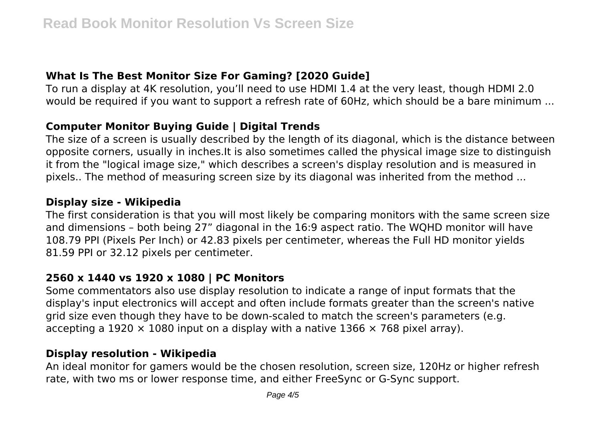# **What Is The Best Monitor Size For Gaming? [2020 Guide]**

To run a display at 4K resolution, you'll need to use HDMI 1.4 at the very least, though HDMI 2.0 would be required if you want to support a refresh rate of 60Hz, which should be a bare minimum ...

# **Computer Monitor Buying Guide | Digital Trends**

The size of a screen is usually described by the length of its diagonal, which is the distance between opposite corners, usually in inches.It is also sometimes called the physical image size to distinguish it from the "logical image size," which describes a screen's display resolution and is measured in pixels.. The method of measuring screen size by its diagonal was inherited from the method ...

## **Display size - Wikipedia**

The first consideration is that you will most likely be comparing monitors with the same screen size and dimensions – both being 27" diagonal in the 16:9 aspect ratio. The WQHD monitor will have 108.79 PPI (Pixels Per Inch) or 42.83 pixels per centimeter, whereas the Full HD monitor yields 81.59 PPI or 32.12 pixels per centimeter.

# **2560 x 1440 vs 1920 x 1080 | PC Monitors**

Some commentators also use display resolution to indicate a range of input formats that the display's input electronics will accept and often include formats greater than the screen's native grid size even though they have to be down-scaled to match the screen's parameters (e.g. accepting a 1920  $\times$  1080 input on a display with a native 1366  $\times$  768 pixel array).

# **Display resolution - Wikipedia**

An ideal monitor for gamers would be the chosen resolution, screen size, 120Hz or higher refresh rate, with two ms or lower response time, and either FreeSync or G-Sync support.